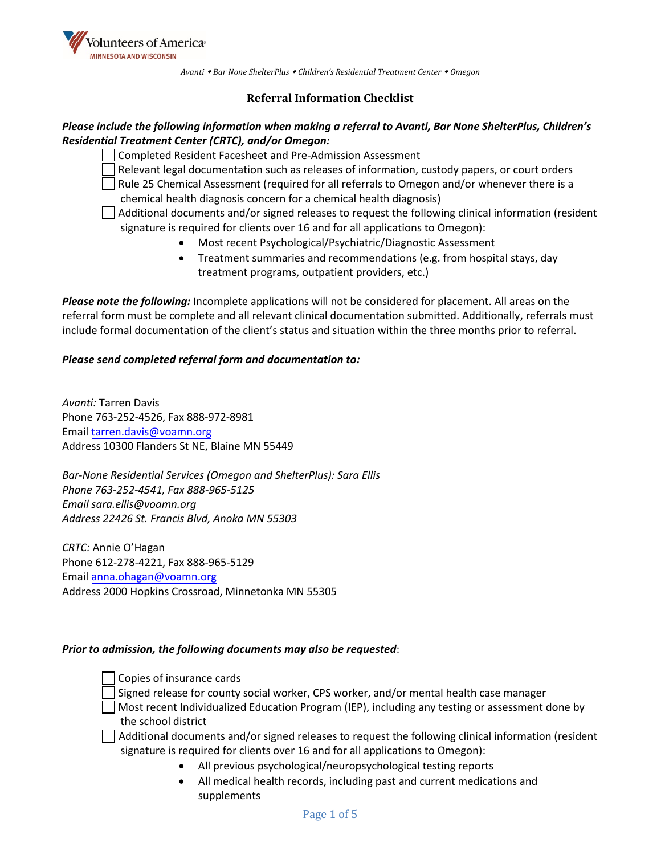

*Avanti Bar None ShelterPlus Children's Residential Treatment Center Omegon* 

# **Referral Information Checklist**

### *Please include the following information when making a referral to Avanti, Bar None ShelterPlus, Children's Residential Treatment Center (CRTC), and/or Omegon:*

Completed Resident Facesheet and Pre-Admission Assessment

Relevant legal documentation such as releases of information, custody papers, or court orders

Rule 25 Chemical Assessment (required for all referrals to Omegon and/or whenever there is a chemical health diagnosis concern for a chemical health diagnosis)

- $\Box$  Additional documents and/or signed releases to request the following clinical information (resident signature is required for clients over 16 and for all applications to Omegon):
	- Most recent Psychological/Psychiatric/Diagnostic Assessment
	- Treatment summaries and recommendations (e.g. from hospital stays, day treatment programs, outpatient providers, etc.)

*Please note the following:* Incomplete applications will not be considered for placement. All areas on the referral form must be complete and all relevant clinical documentation submitted. Additionally, referrals must include formal documentation of the client's status and situation within the three months prior to referral.

#### *Please send completed referral form and documentation to:*

*Avanti:* [Tarren Davis](mailto:tarren.davis@voamn.org)  Phone 763-252-4526, Fax 888-972-8981 Email tarren.davis@voamn.org Address 10300 Flanders St NE, Blaine MN 55449

*Bar-[None Residential Service](mailto:sara.ellis@voamn.org)s (Omegon and ShelterPlus): Sara Ellis Phone 763-252-4541, Fax 888-965-5125 Email sara.ellis@voamn.org Address 22426 St. Francis Blvd, Anoka MN 55303* 

*CRTC:* Annie [O'Hagan](mailto:anna.ohagan@voamn.org)  Phone 612-278-4221, Fax 888-965-5129 Email anna.ohagan@voamn.org Address 2000 Hopkins Crossroad, Minnetonka MN 55305

#### *Prior to admission, the following documents may also be requested*:

- Copies of insurance cards
- Signed release for county social worker, CPS worker, and/or mental health case manager
- Most recent Individualized Education Program (IEP), including any testing or assessment done by the school district
- $\Box$  Additional documents and/or signed releases to request the following clinical information (resident signature is required for clients over 16 and for all applications to Omegon):
	- All previous psychological/neuropsychological testing reports
	- All medical health records, including past and current medications and supplements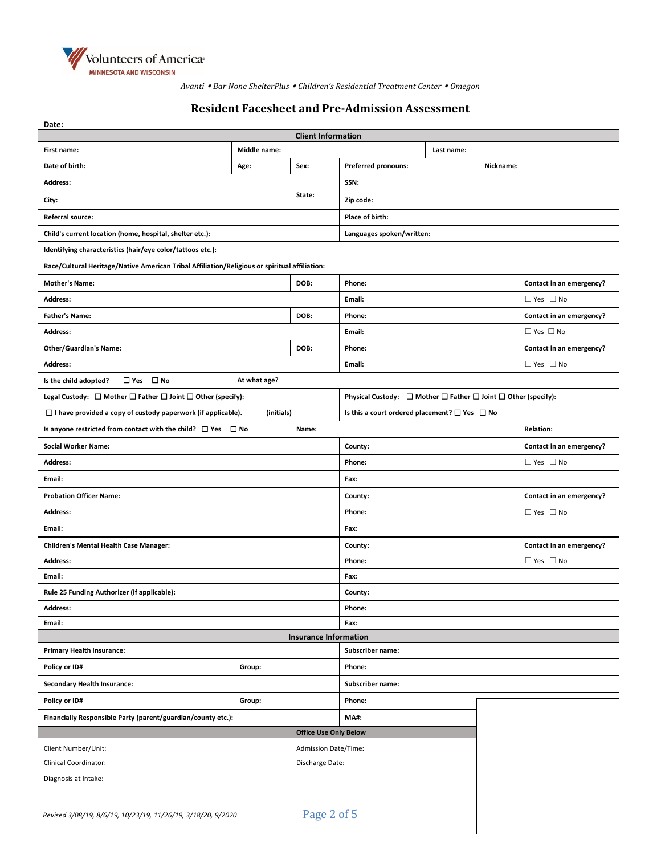

*Avanti Bar None ShelterPlus Children's Residential Treatment Center Omegon* 

# **Resident Facesheet and Pre-Admission Assessment**

| Date:                                                                                                       |                           |                   |                                                                                    |                          |                          |  |
|-------------------------------------------------------------------------------------------------------------|---------------------------|-------------------|------------------------------------------------------------------------------------|--------------------------|--------------------------|--|
|                                                                                                             | <b>Client Information</b> |                   |                                                                                    |                          |                          |  |
| First name:                                                                                                 | Middle name:              |                   | Last name:                                                                         |                          |                          |  |
| Date of birth:                                                                                              | Age:                      | Sex:              | Preferred pronouns:                                                                |                          | Nickname:                |  |
| <b>Address:</b>                                                                                             |                           |                   | SSN:                                                                               |                          |                          |  |
| State:<br>City:                                                                                             |                           |                   | Zip code:                                                                          |                          |                          |  |
| Referral source:                                                                                            |                           |                   | Place of birth:                                                                    |                          |                          |  |
| Child's current location (home, hospital, shelter etc.):                                                    |                           |                   | Languages spoken/written:                                                          |                          |                          |  |
| Identifying characteristics (hair/eye color/tattoos etc.):                                                  |                           |                   |                                                                                    |                          |                          |  |
| Race/Cultural Heritage/Native American Tribal Affiliation/Religious or spiritual affiliation:               |                           |                   |                                                                                    |                          |                          |  |
| <b>Mother's Name:</b>                                                                                       |                           | DOB:              | Phone:                                                                             |                          | Contact in an emergency? |  |
| Address:                                                                                                    |                           |                   | Email:                                                                             |                          | $\Box$ Yes $\Box$ No     |  |
| <b>Father's Name:</b>                                                                                       |                           | DOB:              | Phone:                                                                             |                          | Contact in an emergency? |  |
| Address:                                                                                                    |                           |                   | Email:                                                                             |                          | $\Box$ Yes $\Box$ No     |  |
| <b>Other/Guardian's Name:</b>                                                                               |                           | DOB:              | Phone:                                                                             |                          | Contact in an emergency? |  |
| <b>Address:</b>                                                                                             |                           |                   | Email:                                                                             |                          | $\Box$ Yes $\Box$ No     |  |
| $\Box$ Yes $\Box$ No<br>Is the child adopted?                                                               | At what age?              |                   |                                                                                    |                          |                          |  |
| Legal Custody: $\Box$ Mother $\Box$ Father $\Box$ Joint $\Box$ Other (specify):                             |                           |                   | Physical Custody: $\Box$ Mother $\Box$ Father $\Box$ Joint $\Box$ Other (specify): |                          |                          |  |
| $\Box$ I have provided a copy of custody paperwork (if applicable).                                         | (initials)                |                   | Is this a court ordered placement? $\square$ Yes $\square$ No                      |                          |                          |  |
| Is anyone restricted from contact with the child? $\Box$ Yes $\Box$ No                                      |                           | Name:             |                                                                                    |                          | <b>Relation:</b>         |  |
| <b>Social Worker Name:</b>                                                                                  |                           |                   | County:                                                                            | Contact in an emergency? |                          |  |
| <b>Address:</b>                                                                                             |                           |                   | Phone:<br>$\Box$ Yes $\Box$ No                                                     |                          |                          |  |
| Email:                                                                                                      |                           |                   | Fax:                                                                               |                          |                          |  |
| <b>Probation Officer Name:</b>                                                                              |                           |                   | County:                                                                            | Contact in an emergency? |                          |  |
| <b>Address:</b>                                                                                             |                           |                   | Phone:                                                                             | $\Box$ Yes $\Box$ No     |                          |  |
| Email:                                                                                                      |                           |                   | Fax:                                                                               |                          |                          |  |
| <b>Children's Mental Health Case Manager:</b>                                                               |                           |                   | County:                                                                            | Contact in an emergency? |                          |  |
| Address:                                                                                                    |                           |                   | $\Box$ Yes $\Box$ No<br>Phone:                                                     |                          |                          |  |
| Email:                                                                                                      |                           |                   | Fax:                                                                               |                          |                          |  |
| Rule 25 Funding Authorizer (if applicable):                                                                 |                           |                   | County:                                                                            |                          |                          |  |
| <b>Address:</b>                                                                                             |                           |                   | Phone:                                                                             |                          |                          |  |
| Email:<br>Fax:                                                                                              |                           |                   |                                                                                    |                          |                          |  |
| <b>Insurance Information</b>                                                                                |                           |                   | Subscriber name:                                                                   |                          |                          |  |
| <b>Primary Health Insurance:</b><br>Policy or ID#                                                           | Group:                    |                   | Phone:                                                                             |                          |                          |  |
| <b>Secondary Health Insurance:</b>                                                                          |                           |                   | Subscriber name:                                                                   |                          |                          |  |
| Policy or ID#                                                                                               | Group:                    |                   | Phone:                                                                             |                          |                          |  |
|                                                                                                             |                           |                   |                                                                                    |                          |                          |  |
| Financially Responsible Party (parent/guardian/county etc.):<br><b>MA#:</b><br><b>Office Use Only Below</b> |                           |                   |                                                                                    |                          |                          |  |
| Client Number/Unit:<br>Admission Date/Time:                                                                 |                           |                   |                                                                                    |                          |                          |  |
| <b>Clinical Coordinator:</b><br>Discharge Date:                                                             |                           |                   |                                                                                    |                          |                          |  |
| Diagnosis at Intake:                                                                                        |                           |                   |                                                                                    |                          |                          |  |
|                                                                                                             |                           |                   |                                                                                    |                          |                          |  |
| $Pouized 2/00/10 0/0/10 10/22/10 11/20/10 2/10/20/20 0/2020$                                                |                           | $Diag$ $2$ of $5$ |                                                                                    |                          |                          |  |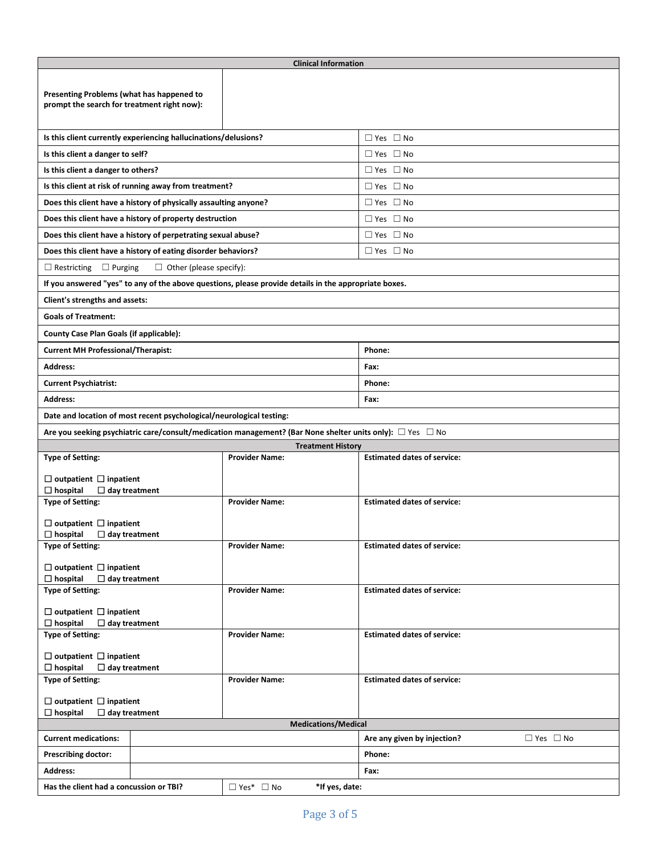| <b>Clinical Information</b>                                                              |                                                                      |                                                                                                                     |                                    |                      |  |  |  |  |
|------------------------------------------------------------------------------------------|----------------------------------------------------------------------|---------------------------------------------------------------------------------------------------------------------|------------------------------------|----------------------|--|--|--|--|
| Presenting Problems (what has happened to<br>prompt the search for treatment right now): |                                                                      |                                                                                                                     |                                    |                      |  |  |  |  |
|                                                                                          | Is this client currently experiencing hallucinations/delusions?      |                                                                                                                     | $\Box$ Yes $\Box$ No               |                      |  |  |  |  |
| Is this client a danger to self?                                                         |                                                                      |                                                                                                                     | $\Box$ Yes $\Box$ No               |                      |  |  |  |  |
| Is this client a danger to others?                                                       |                                                                      |                                                                                                                     | $\Box$ Yes $\Box$ No               |                      |  |  |  |  |
| Is this client at risk of running away from treatment?                                   |                                                                      |                                                                                                                     | $\Box$ Yes $\Box$ No               |                      |  |  |  |  |
|                                                                                          | Does this client have a history of physically assaulting anyone?     |                                                                                                                     | $\Box$ Yes $\Box$ No               |                      |  |  |  |  |
|                                                                                          | Does this client have a history of property destruction              |                                                                                                                     | $\Box$ Yes $\Box$ No               |                      |  |  |  |  |
|                                                                                          | Does this client have a history of perpetrating sexual abuse?        |                                                                                                                     | $\Box$ Yes $\Box$ No               |                      |  |  |  |  |
|                                                                                          | Does this client have a history of eating disorder behaviors?        |                                                                                                                     | $\Box$ Yes $\Box$ No               |                      |  |  |  |  |
| $\Box$ Restricting<br>$\Box$ Purging                                                     | $\Box$ Other (please specify):                                       |                                                                                                                     |                                    |                      |  |  |  |  |
|                                                                                          |                                                                      | If you answered "yes" to any of the above questions, please provide details in the appropriate boxes.               |                                    |                      |  |  |  |  |
| Client's strengths and assets:                                                           |                                                                      |                                                                                                                     |                                    |                      |  |  |  |  |
| <b>Goals of Treatment:</b>                                                               |                                                                      |                                                                                                                     |                                    |                      |  |  |  |  |
| County Case Plan Goals (if applicable):                                                  |                                                                      |                                                                                                                     |                                    |                      |  |  |  |  |
| <b>Current MH Professional/Therapist:</b>                                                |                                                                      |                                                                                                                     | Phone:                             |                      |  |  |  |  |
| <b>Address:</b>                                                                          |                                                                      |                                                                                                                     | Fax:                               |                      |  |  |  |  |
| <b>Current Psychiatrist:</b>                                                             |                                                                      |                                                                                                                     | Phone:                             |                      |  |  |  |  |
| <b>Address:</b>                                                                          |                                                                      |                                                                                                                     | Fax:                               |                      |  |  |  |  |
|                                                                                          | Date and location of most recent psychological/neurological testing: |                                                                                                                     |                                    |                      |  |  |  |  |
|                                                                                          |                                                                      | Are you seeking psychiatric care/consult/medication management? (Bar None shelter units only): $\Box$ Yes $\Box$ No |                                    |                      |  |  |  |  |
|                                                                                          |                                                                      | <b>Treatment History</b>                                                                                            |                                    |                      |  |  |  |  |
| <b>Type of Setting:</b>                                                                  |                                                                      | <b>Provider Name:</b>                                                                                               | <b>Estimated dates of service:</b> |                      |  |  |  |  |
| $\Box$ outpatient $\Box$ inpatient                                                       |                                                                      |                                                                                                                     |                                    |                      |  |  |  |  |
| $\Box$ hospital<br>$\Box$ day treatment<br><b>Type of Setting:</b>                       |                                                                      | <b>Provider Name:</b>                                                                                               | <b>Estimated dates of service:</b> |                      |  |  |  |  |
|                                                                                          |                                                                      |                                                                                                                     |                                    |                      |  |  |  |  |
| $\Box$ outpatient $\Box$ inpatient                                                       |                                                                      |                                                                                                                     |                                    |                      |  |  |  |  |
| $\Box$ hospital<br>$\Box$ day treatment<br><b>Type of Setting:</b>                       |                                                                      | <b>Provider Name:</b>                                                                                               | <b>Estimated dates of service:</b> |                      |  |  |  |  |
|                                                                                          |                                                                      |                                                                                                                     |                                    |                      |  |  |  |  |
| $\Box$ outpatient $\Box$ inpatient<br>$\Box$ hospital<br>$\Box$ day treatment            |                                                                      |                                                                                                                     |                                    |                      |  |  |  |  |
| <b>Type of Setting:</b>                                                                  |                                                                      | <b>Provider Name:</b>                                                                                               | <b>Estimated dates of service:</b> |                      |  |  |  |  |
|                                                                                          |                                                                      |                                                                                                                     |                                    |                      |  |  |  |  |
| $\Box$ outpatient $\Box$ inpatient<br>$\Box$ hospital<br>$\Box$ day treatment            |                                                                      |                                                                                                                     |                                    |                      |  |  |  |  |
| Type of Setting:                                                                         |                                                                      | <b>Provider Name:</b>                                                                                               | <b>Estimated dates of service:</b> |                      |  |  |  |  |
|                                                                                          |                                                                      |                                                                                                                     |                                    |                      |  |  |  |  |
| $\Box$ outpatient $\Box$ inpatient<br>$\Box$ hospital<br>$\Box$ day treatment            |                                                                      |                                                                                                                     |                                    |                      |  |  |  |  |
| <b>Type of Setting:</b>                                                                  |                                                                      | <b>Provider Name:</b>                                                                                               | <b>Estimated dates of service:</b> |                      |  |  |  |  |
|                                                                                          |                                                                      |                                                                                                                     |                                    |                      |  |  |  |  |
| $\Box$ outpatient $\Box$ inpatient<br>$\Box$ hospital<br>$\Box$ day treatment            |                                                                      |                                                                                                                     |                                    |                      |  |  |  |  |
| <b>Medications/Medical</b>                                                               |                                                                      |                                                                                                                     |                                    |                      |  |  |  |  |
| <b>Current medications:</b>                                                              |                                                                      |                                                                                                                     | Are any given by injection?        | $\Box$ Yes $\Box$ No |  |  |  |  |
| <b>Prescribing doctor:</b>                                                               |                                                                      |                                                                                                                     | Phone:                             |                      |  |  |  |  |
| <b>Address:</b>                                                                          |                                                                      |                                                                                                                     | Fax:                               |                      |  |  |  |  |
| Has the client had a concussion or TBI?                                                  |                                                                      | $\Box$ Yes* $\Box$ No<br>*If yes, date:                                                                             |                                    |                      |  |  |  |  |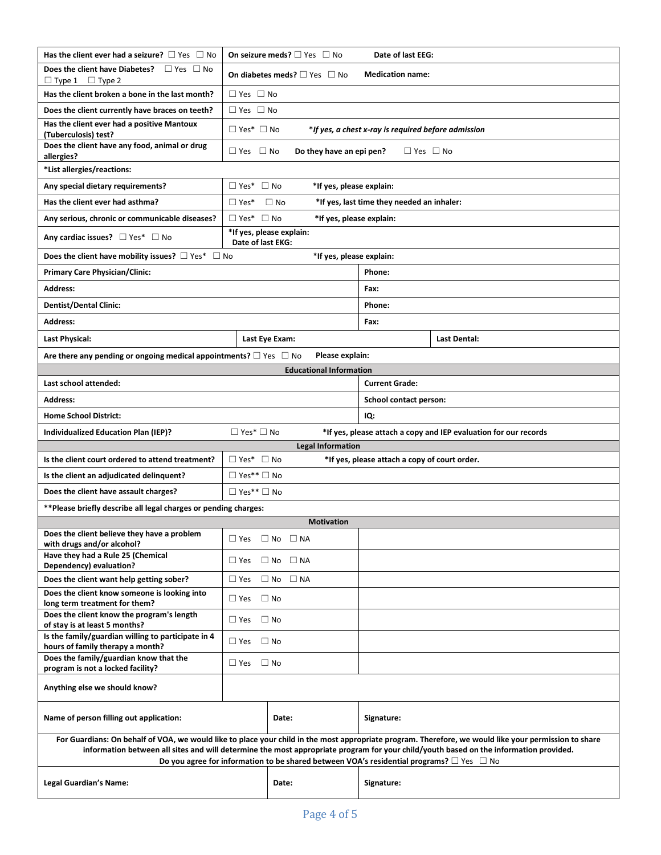| Has the client ever had a seizure? $\Box$ Yes $\Box$ No                                                                                                                                                                                                                                                                                                                                                    | On seizure meds? $\Box$ Yes $\Box$ No<br>Date of last EEG:                   |                          |                                            |                                                                  |  |  |
|------------------------------------------------------------------------------------------------------------------------------------------------------------------------------------------------------------------------------------------------------------------------------------------------------------------------------------------------------------------------------------------------------------|------------------------------------------------------------------------------|--------------------------|--------------------------------------------|------------------------------------------------------------------|--|--|
| Does the client have Diabetes? $\Box$ Yes $\Box$ No<br>$\Box$ Type 1 $\Box$ Type 2                                                                                                                                                                                                                                                                                                                         | On diabetes meds? $\Box$ Yes $\Box$ No<br><b>Medication name:</b>            |                          |                                            |                                                                  |  |  |
| Has the client broken a bone in the last month?                                                                                                                                                                                                                                                                                                                                                            | $\Box$ Yes $\Box$ No                                                         |                          |                                            |                                                                  |  |  |
| Does the client currently have braces on teeth?                                                                                                                                                                                                                                                                                                                                                            | $\Box$ Yes $\Box$ No                                                         |                          |                                            |                                                                  |  |  |
| Has the client ever had a positive Mantoux<br>(Tuberculosis) test?                                                                                                                                                                                                                                                                                                                                         | $\Box$ Yes* $\Box$ No<br>*If yes, a chest x-ray is required before admission |                          |                                            |                                                                  |  |  |
| Does the client have any food, animal or drug<br>allergies?                                                                                                                                                                                                                                                                                                                                                | $\Box$ Yes $\Box$ No                                                         | Do they have an epi pen? | $\Box$ Yes $\Box$ No                       |                                                                  |  |  |
| *List allergies/reactions:                                                                                                                                                                                                                                                                                                                                                                                 |                                                                              |                          |                                            |                                                                  |  |  |
| Any special dietary requirements?                                                                                                                                                                                                                                                                                                                                                                          | $\Box$ Yes* $\Box$ No                                                        | *If yes, please explain: |                                            |                                                                  |  |  |
| Has the client ever had asthma?                                                                                                                                                                                                                                                                                                                                                                            | $\Box$ Yes*                                                                  | $\Box$ No                | *If yes, last time they needed an inhaler: |                                                                  |  |  |
| Any serious, chronic or communicable diseases?                                                                                                                                                                                                                                                                                                                                                             | $\Box$ Yes* $\Box$ No                                                        | *If yes, please explain: |                                            |                                                                  |  |  |
| Any cardiac issues? $\Box$ Yes* $\Box$ No                                                                                                                                                                                                                                                                                                                                                                  | Date of last EKG:                                                            | *If yes, please explain: |                                            |                                                                  |  |  |
| Does the client have mobility issues? $\square$ Yes* $\square$ No                                                                                                                                                                                                                                                                                                                                          |                                                                              | *If yes, please explain: |                                            |                                                                  |  |  |
| <b>Primary Care Physician/Clinic:</b>                                                                                                                                                                                                                                                                                                                                                                      |                                                                              |                          | Phone:                                     |                                                                  |  |  |
| <b>Address:</b>                                                                                                                                                                                                                                                                                                                                                                                            |                                                                              |                          | Fax:                                       |                                                                  |  |  |
| <b>Dentist/Dental Clinic:</b>                                                                                                                                                                                                                                                                                                                                                                              |                                                                              |                          | Phone:                                     |                                                                  |  |  |
| <b>Address:</b>                                                                                                                                                                                                                                                                                                                                                                                            |                                                                              |                          | Fax:                                       |                                                                  |  |  |
| <b>Last Physical:</b>                                                                                                                                                                                                                                                                                                                                                                                      |                                                                              | Last Eye Exam:           |                                            | Last Dental:                                                     |  |  |
| Are there any pending or ongoing medical appointments? $\square$ Yes $\square$ No                                                                                                                                                                                                                                                                                                                          |                                                                              | Please explain:          |                                            |                                                                  |  |  |
| <b>Educational Information</b>                                                                                                                                                                                                                                                                                                                                                                             |                                                                              |                          |                                            |                                                                  |  |  |
| Last school attended:                                                                                                                                                                                                                                                                                                                                                                                      |                                                                              |                          | <b>Current Grade:</b>                      |                                                                  |  |  |
| <b>Address:</b>                                                                                                                                                                                                                                                                                                                                                                                            |                                                                              |                          | School contact person:                     |                                                                  |  |  |
| <b>Home School District:</b>                                                                                                                                                                                                                                                                                                                                                                               |                                                                              |                          |                                            | IQ:                                                              |  |  |
| Individualized Education Plan (IEP)?                                                                                                                                                                                                                                                                                                                                                                       | $\Box$ Yes* $\Box$ No                                                        |                          |                                            | *If yes, please attach a copy and IEP evaluation for our records |  |  |
|                                                                                                                                                                                                                                                                                                                                                                                                            |                                                                              | <b>Legal Information</b> |                                            |                                                                  |  |  |
| Is the client court ordered to attend treatment?<br>Is the client an adjudicated delinquent?                                                                                                                                                                                                                                                                                                               | $\Box$ Yes* $\Box$ No<br>*If yes, please attach a copy of court order.       |                          |                                            |                                                                  |  |  |
|                                                                                                                                                                                                                                                                                                                                                                                                            | $\Box$ Yes** $\Box$ No                                                       |                          |                                            |                                                                  |  |  |
| $\Box$ Yes** $\Box$ No<br>Does the client have assault charges?                                                                                                                                                                                                                                                                                                                                            |                                                                              |                          |                                            |                                                                  |  |  |
| **Please briefly describe all legal charges or pending charges:<br><b>Motivation</b>                                                                                                                                                                                                                                                                                                                       |                                                                              |                          |                                            |                                                                  |  |  |
| Does the client believe they have a problem<br>$\Box$ Yes $\Box$ No $\Box$ NA                                                                                                                                                                                                                                                                                                                              |                                                                              |                          |                                            |                                                                  |  |  |
| with drugs and/or alcohol?<br>Have they had a Rule 25 (Chemical                                                                                                                                                                                                                                                                                                                                            |                                                                              |                          |                                            |                                                                  |  |  |
| Dependency) evaluation?                                                                                                                                                                                                                                                                                                                                                                                    | $\square$ Yes                                                                | $\Box$ No $\Box$ NA      |                                            |                                                                  |  |  |
| Does the client want help getting sober?                                                                                                                                                                                                                                                                                                                                                                   | $\Box$ Yes                                                                   | $\Box$ No $\Box$ NA      |                                            |                                                                  |  |  |
| Does the client know someone is looking into<br>long term treatment for them?                                                                                                                                                                                                                                                                                                                              | $\square$ Yes                                                                | $\Box$ No                |                                            |                                                                  |  |  |
| Does the client know the program's length<br>of stay is at least 5 months?                                                                                                                                                                                                                                                                                                                                 | $\Box$ Yes                                                                   | $\Box$ No                |                                            |                                                                  |  |  |
| Is the family/guardian willing to participate in 4<br>hours of family therapy a month?                                                                                                                                                                                                                                                                                                                     | $\Box$ Yes $\Box$ No                                                         |                          |                                            |                                                                  |  |  |
| Does the family/guardian know that the<br>program is not a locked facility?                                                                                                                                                                                                                                                                                                                                | $\Box$ Yes $\Box$ No                                                         |                          |                                            |                                                                  |  |  |
| Anything else we should know?                                                                                                                                                                                                                                                                                                                                                                              |                                                                              |                          |                                            |                                                                  |  |  |
| Name of person filling out application:<br>Date:                                                                                                                                                                                                                                                                                                                                                           |                                                                              |                          | Signature:                                 |                                                                  |  |  |
| For Guardians: On behalf of VOA, we would like to place your child in the most appropriate program. Therefore, we would like your permission to share<br>information between all sites and will determine the most appropriate program for your child/youth based on the information provided.<br>Do you agree for information to be shared between VOA's residential programs? $\square$ Yes $\square$ No |                                                                              |                          |                                            |                                                                  |  |  |
| Legal Guardian's Name:<br>Date:                                                                                                                                                                                                                                                                                                                                                                            |                                                                              |                          | Signature:                                 |                                                                  |  |  |